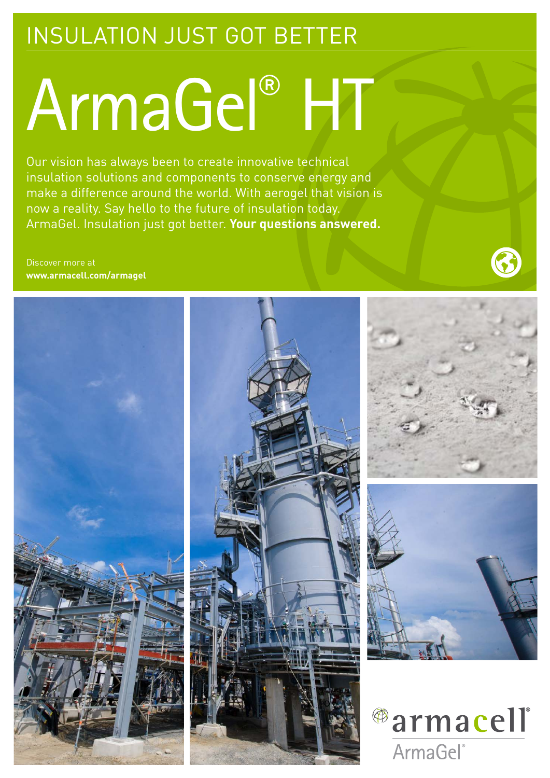# INSULATION JUST GOT BETTER

# ArmaGel® HT

Our vision has always been to create innovative technical insulation solutions and components to conserve energy and make a difference around the world. With aerogel that vision is now a reality. Say hello to the future of insulation today. ArmaGel. Insulation just got better. **Your questions answered.**

Discover more at **www.armacell.com/armagel**

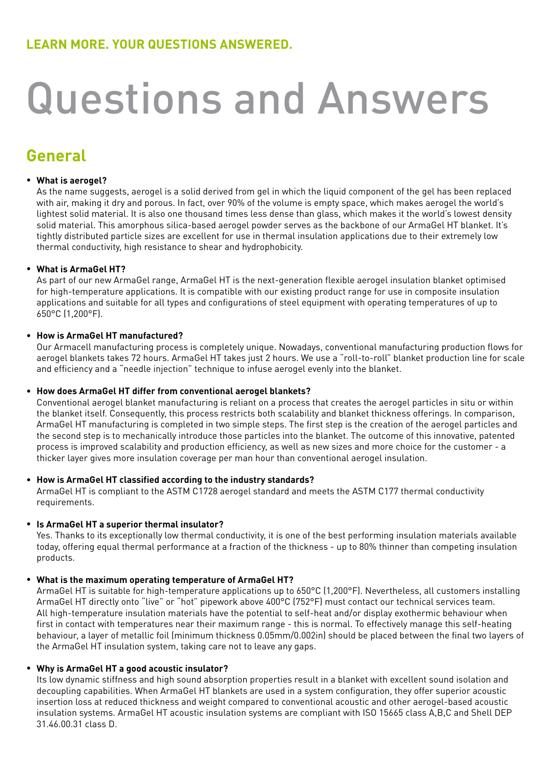# Questions and Answers

## **General**

#### **What is aerogel?** •

As the name suggests, aerogel is a solid derived from gel in which the liquid component of the gel has been replaced with air, making it dry and porous. In fact, over 90% of the volume is empty space, which makes aerogel the world's lightest solid material. It is also one thousand times less dense than glass, which makes it the world's lowest density solid material. This amorphous silica-based aerogel powder serves as the backbone of our ArmaGel HT blanket. It's tightly distributed particle sizes are excellent for use in thermal insulation applications due to their extremely low thermal conductivity, high resistance to shear and hydrophobicity.

#### **What is ArmaGel HT?**  •

As part of our new ArmaGel range, ArmaGel HT is the next-generation flexible aerogel insulation blanket optimised for high-temperature applications. It is compatible with our existing product range for use in composite insulation applications and suitable for all types and configurations of steel equipment with operating temperatures of up to 650°C (1,200°F).

#### **How is ArmaGel HT manufactured?** •

Our Armacell manufacturing process is completely unique. Nowadays, conventional manufacturing production flows for aerogel blankets takes 72 hours. ArmaGel HT takes just 2 hours. We use a "roll-to-roll" blanket production line for scale and efficiency and a "needle injection" technique to infuse aerogel evenly into the blanket.

#### **How does ArmaGel HT differ from conventional aerogel blankets?** •

Conventional aerogel blanket manufacturing is reliant on a process that creates the aerogel particles in situ or within the blanket itself. Consequently, this process restricts both scalability and blanket thickness offerings. In comparison, ArmaGel HT manufacturing is completed in two simple steps. The first step is the creation of the aerogel particles and the second step is to mechanically introduce those particles into the blanket. The outcome of this innovative, patented process is improved scalability and production efficiency, as well as new sizes and more choice for the customer - a thicker layer gives more insulation coverage per man hour than conventional aerogel insulation.

#### **How is ArmaGel HT classified according to the industry standards?** •

ArmaGel HT is compliant to the ASTM C1728 aerogel standard and meets the ASTM C177 thermal conductivity requirements.

#### **Is ArmaGel HT a superior thermal insulator?** •

Yes. Thanks to its exceptionally low thermal conductivity, it is one of the best performing insulation materials available today, offering equal thermal performance at a fraction of the thickness - up to 80% thinner than competing insulation products.

#### **What is the maximum operating temperature of ArmaGel HT?** •

ArmaGel HT is suitable for high-temperature applications up to 650°C (1,200°F). Nevertheless, all customers installing ArmaGel HT directly onto "live" or "hot" pipework above 400°C (752°F) must contact our technical services team. All high-temperature insulation materials have the potential to self-heat and/or display exothermic behaviour when first in contact with temperatures near their maximum range - this is normal. To effectively manage this self-heating behaviour, a layer of metallic foil (minimum thickness 0.05mm/0.002in) should be placed between the final two layers of the ArmaGel HT insulation system, taking care not to leave any gaps.

#### **Why is ArmaGel HT a good acoustic insulator?** •

Its low dynamic stiffness and high sound absorption properties result in a blanket with excellent sound isolation and decoupling capabilities. When ArmaGel HT blankets are used in a system configuration, they offer superior acoustic insertion loss at reduced thickness and weight compared to conventional acoustic and other aerogel-based acoustic insulation systems. ArmaGel HT acoustic insulation systems are compliant with ISO 15665 class A,B,C and Shell DEP 31.46.00.31 class D.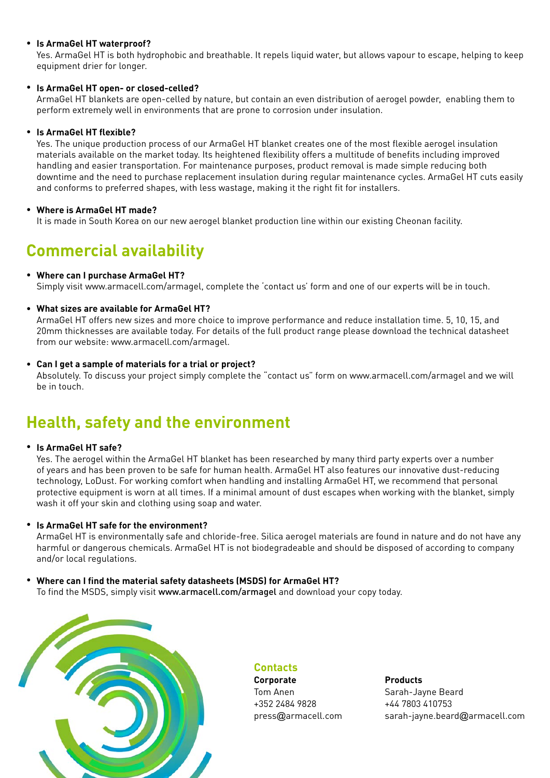#### **Is ArmaGel HT waterproof?** •

Yes. ArmaGel HT is both hydrophobic and breathable. It repels liquid water, but allows vapour to escape, helping to keep equipment drier for longer.

#### **Is ArmaGel HT open- or closed-celled?**  •

ArmaGel HT blankets are open-celled by nature, but contain an even distribution of aerogel powder, enabling them to perform extremely well in environments that are prone to corrosion under insulation.

#### **Is ArmaGel HT flexible?** •

Yes. The unique production process of our ArmaGel HT blanket creates one of the most flexible aerogel insulation materials available on the market today. Its heightened flexibility offers a multitude of benefits including improved handling and easier transportation. For maintenance purposes, product removal is made simple reducing both downtime and the need to purchase replacement insulation during regular maintenance cycles. ArmaGel HT cuts easily and conforms to preferred shapes, with less wastage, making it the right fit for installers.

#### **Where is ArmaGel HT made?** •

It is made in South Korea on our new aerogel blanket production line within our existing Cheonan facility.

## **Commercial availability**

#### **Where can I purchase ArmaGel HT?** •

Simply visit www.armacell.com/armagel, complete the 'contact us' form and one of our experts will be in touch.

#### **What sizes are available for ArmaGel HT?** •

ArmaGel HT offers new sizes and more choice to improve performance and reduce installation time. 5, 10, 15, and 20mm thicknesses are available today. For details of the full product range please download the technical datasheet from our website: www.armacell.com/armagel.

#### **Can I get a sample of materials for a trial or project?** •

Absolutely. To discuss your project simply complete the "contact us" form on www.armacell.com/armagel and we will be in touch.

# **Health, safety and the environment**

#### **Is ArmaGel HT safe?** •

Yes. The aerogel within the ArmaGel HT blanket has been researched by many third party experts over a number of years and has been proven to be safe for human health. ArmaGel HT also features our innovative dust-reducing technology, LoDust. For working comfort when handling and installing ArmaGel HT, we recommend that personal protective equipment is worn at all times. If a minimal amount of dust escapes when working with the blanket, simply wash it off your skin and clothing using soap and water.

#### **Is ArmaGel HT safe for the environment?** •

ArmaGel HT is environmentally safe and chloride-free. Silica aerogel materials are found in nature and do not have any harmful or dangerous chemicals. ArmaGel HT is not biodegradeable and should be disposed of according to company and/or local regulations.

#### **Where can I find the material safety datasheets (MSDS) for ArmaGel HT?** To find the MSDS, simply visit www.armacell.com/armagel and download your copy today. •



**Contacts**

**Corporate Products** Tom Anen Sarah-Jayne Beard +352 2484 9828 +44 7803 410753

press@armacell.com sarah-jayne.beard@armacell.com